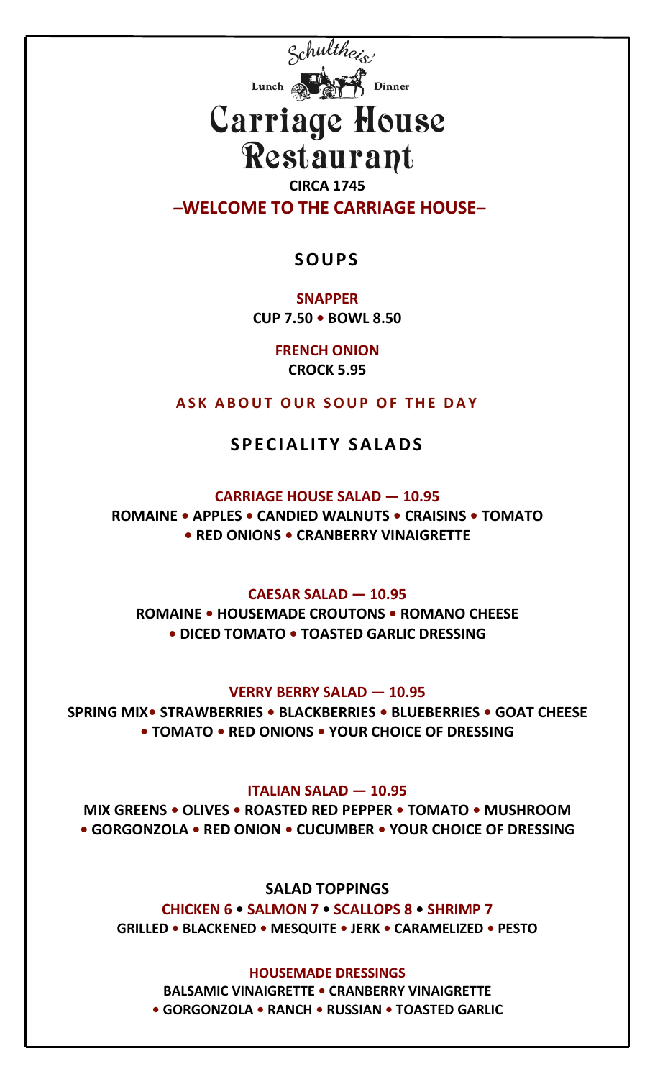

# Carriage House Restaurant

**CIRCA 1745** *–***WELCOME TO THE CARRIAGE HOUSE***–*

### **SOUPS**

**SNAPPER CUP 7.50 • BOWL 8.50**

> **FRENCH ONION CROCK 5.95**

**ASK ABOUT OUR SOUP OF THE DAY**

## **SPECIALITY SALADS**

#### **CARRIAGE HOUSE SALAD — 10.95**

**ROMAINE • APPLES • CANDIED WALNUTS • CRAISINS • TOMATO • RED ONIONS • CRANBERRY VINAIGRETTE**

#### **CAESAR SALAD — 10.95**

**ROMAINE • HOUSEMADE CROUTONS • ROMANO CHEESE • DICED TOMATO • TOASTED GARLIC DRESSING**

**VERRY BERRY SALAD — 10.95**

**SPRING MIX• STRAWBERRIES • BLACKBERRIES • BLUEBERRIES • GOAT CHEESE • TOMATO • RED ONIONS • YOUR CHOICE OF DRESSING**

**ITALIAN SALAD — 10.95**

**MIX GREENS • OLIVES • ROASTED RED PEPPER • TOMATO • MUSHROOM • GORGONZOLA • RED ONION • CUCUMBER • YOUR CHOICE OF DRESSING**

**SALAD TOPPINGS CHICKEN 6 • SALMON 7 • SCALLOPS 8 • SHRIMP 7 GRILLED • BLACKENED • MESQUITE • JERK • CARAMELIZED • PESTO**

**HOUSEMADE DRESSINGS BALSAMIC VINAIGRETTE • CRANBERRY VINAIGRETTE • GORGONZOLA • RANCH • RUSSIAN • TOASTED GARLIC**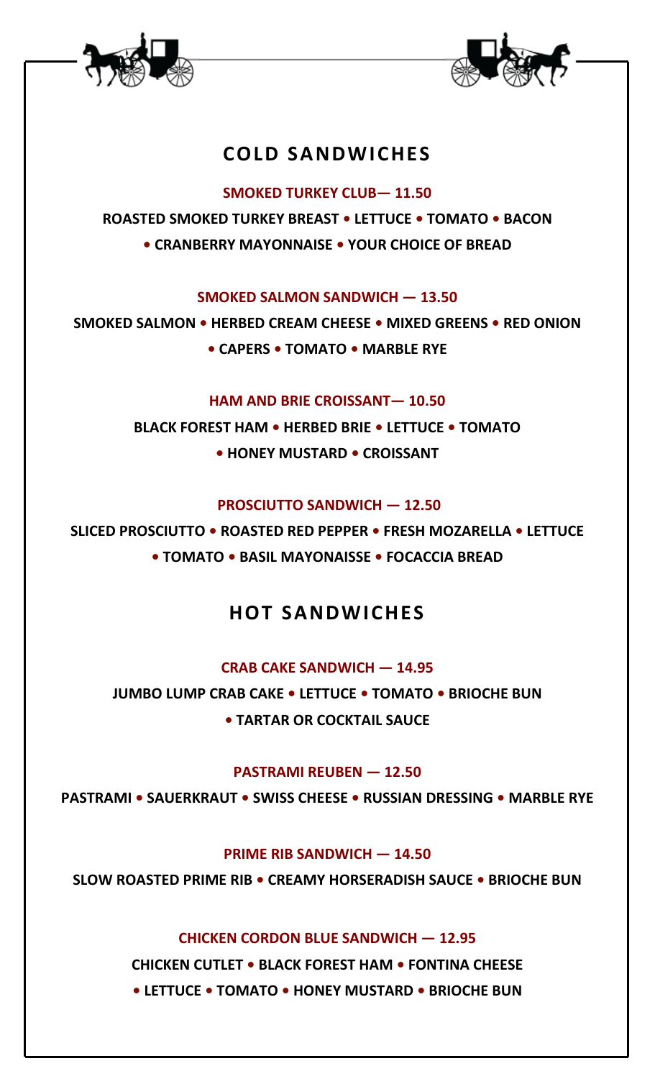



## **COLD SANDWICHES**

**SMOKED TURKEY CLUB— 11.50**

**ROASTED SMOKED TURKEY BREAST • LETTUCE • TOMATO • BACON • CRANBERRY MAYONNAISE • YOUR CHOICE OF BREAD**

**SMOKED SALMON SANDWICH — 13.50**

**SMOKED SALMON • HERBED CREAM CHEESE • MIXED GREENS • RED ONION • CAPERS • TOMATO • MARBLE RYE** 

**HAM AND BRIE CROISSANT— 10.50**

**BLACK FOREST HAM • HERBED BRIE • LETTUCE • TOMATO**

**• HONEY MUSTARD • CROISSANT**

**PROSCIUTTO SANDWICH — 12.50**

**SLICED PROSCIUTTO • ROASTED RED PEPPER • FRESH MOZARELLA • LETTUCE • TOMATO • BASIL MAYONAISSE • FOCACCIA BREAD**

# **HOT SANDWICHES**

**CRAB CAKE SANDWICH — 14.95**

**JUMBO LUMP CRAB CAKE • LETTUCE • TOMATO • BRIOCHE BUN • TARTAR OR COCKTAIL SAUCE**

**PASTRAMI REUBEN — 12.50**

**PASTRAMI • SAUERKRAUT • SWISS CHEESE • RUSSIAN DRESSING • MARBLE RYE**

**PRIME RIB SANDWICH — 14.50**

**SLOW ROASTED PRIME RIB • CREAMY HORSERADISH SAUCE • BRIOCHE BUN**

**CHICKEN CORDON BLUE SANDWICH — 12.95**

**CHICKEN CUTLET • BLACK FOREST HAM • FONTINA CHEESE • LETTUCE • TOMATO • HONEY MUSTARD • BRIOCHE BUN**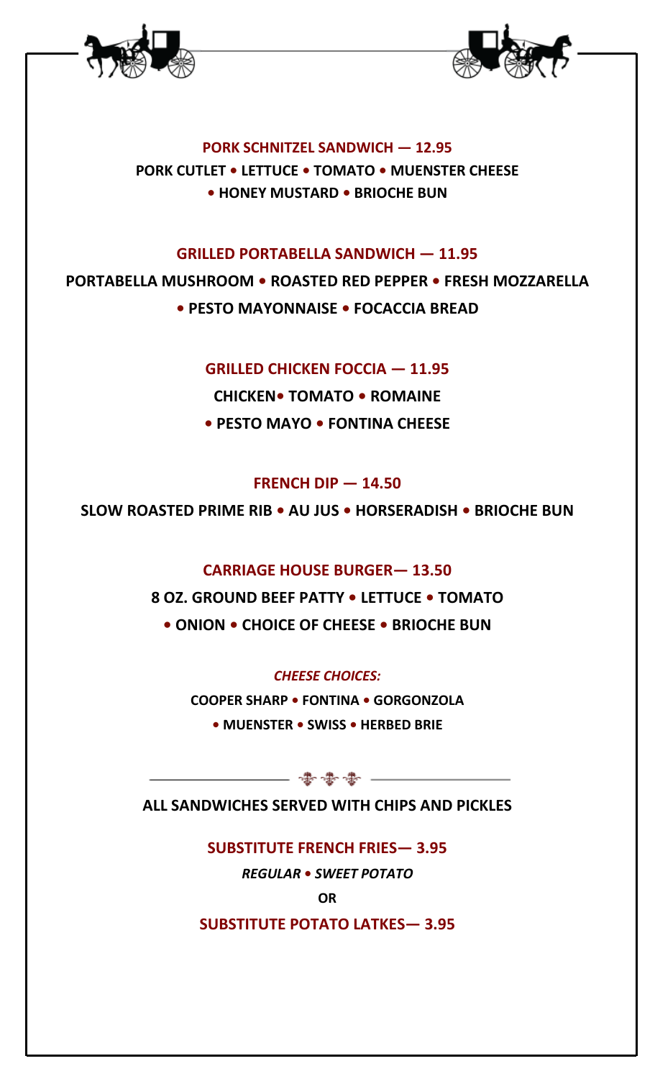



**PORK SCHNITZEL SANDWICH — 12.95 PORK CUTLET • LETTUCE • TOMATO • MUENSTER CHEESE • HONEY MUSTARD • BRIOCHE BUN**

#### **GRILLED PORTABELLA SANDWICH — 11.95**

**PORTABELLA MUSHROOM • ROASTED RED PEPPER • FRESH MOZZARELLA • PESTO MAYONNAISE • FOCACCIA BREAD**

**GRILLED CHICKEN FOCCIA — 11.95**

**CHICKEN• TOMATO • ROMAINE • PESTO MAYO • FONTINA CHEESE**

#### **FRENCH DIP — 14.50**

**SLOW ROASTED PRIME RIB • AU JUS • HORSERADISH • BRIOCHE BUN**

#### **CARRIAGE HOUSE BURGER— 13.50**

**8 OZ. GROUND BEEF PATTY • LETTUCE • TOMATO • ONION • CHOICE OF CHEESE • BRIOCHE BUN**

#### *CHEESE CHOICES:*

**COOPER SHARP • FONTINA • GORGONZOLA** 

**• MUENSTER • SWISS • HERBED BRIE**

- 夢夢夢 一

**ALL SANDWICHES SERVED WITH CHIPS AND PICKLES**

**SUBSTITUTE FRENCH FRIES— 3.95**

*REGULAR* **•** *SWEET POTATO*

**OR** 

**SUBSTITUTE POTATO LATKES— 3.95**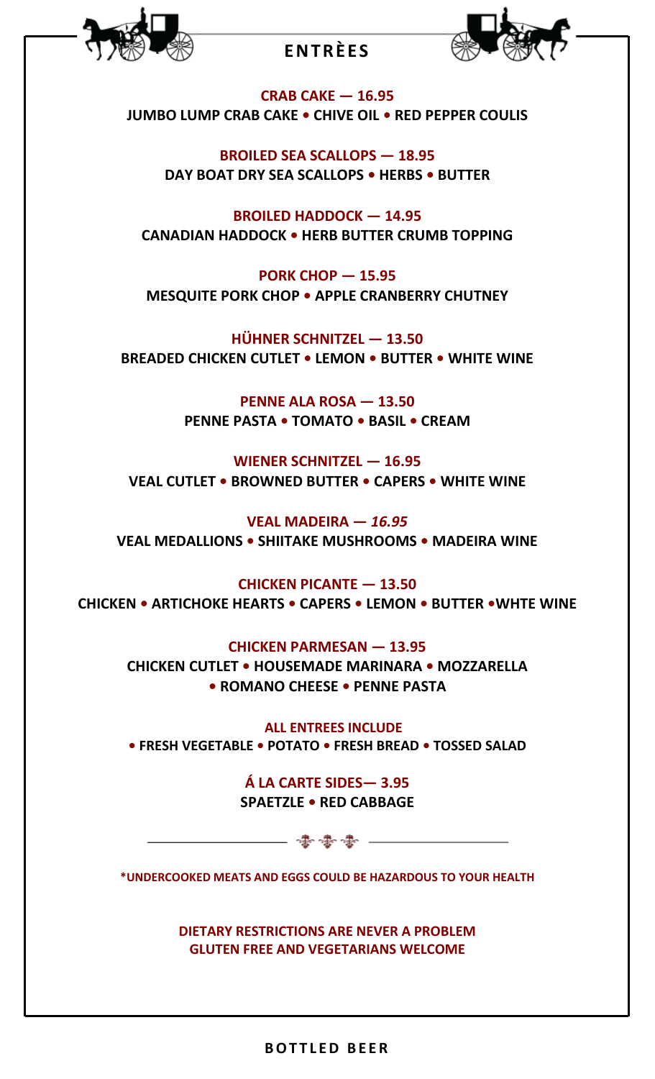

## **ENTRÈES**



**CRAB CAKE — 16.95 JUMBO LUMP CRAB CAKE • CHIVE OIL • RED PEPPER COULIS**

**BROILED SEA SCALLOPS — 18.95 DAY BOAT DRY SEA SCALLOPS • HERBS • BUTTER** 

**BROILED HADDOCK — 14.95 CANADIAN HADDOCK • HERB BUTTER CRUMB TOPPING**

**PORK CHOP — 15.95 MESQUITE PORK CHOP • APPLE CRANBERRY CHUTNEY**

**HÜHNER SCHNITZEL — 13.50 BREADED CHICKEN CUTLET • LEMON • BUTTER • WHITE WINE**

> **PENNE ALA ROSA — 13.50 PENNE PASTA • TOMATO • BASIL • CREAM**

**WIENER SCHNITZEL — 16.95 VEAL CUTLET • BROWNED BUTTER • CAPERS • WHITE WINE**

**VEAL MADEIRA —** *16.95* **VEAL MEDALLIONS • SHIITAKE MUSHROOMS • MADEIRA WINE**

**CHICKEN PICANTE — 13.50 CHICKEN • ARTICHOKE HEARTS • CAPERS • LEMON • BUTTER •WHTE WINE**

**CHICKEN PARMESAN — 13.95**

**CHICKEN CUTLET • HOUSEMADE MARINARA • MOZZARELLA • ROMANO CHEESE • PENNE PASTA**

 **ALL ENTREES INCLUDE • FRESH VEGETABLE • POTATO • FRESH BREAD • TOSSED SALAD**

> **Á LA CARTE SIDES— 3.95 SPAETZLE • RED CABBAGE**

**\*UNDERCOOKED MEATS AND EGGS COULD BE HAZARDOUS TO YOUR HEALTH**

── ◆ ◆ ◆ → ───────

**DIETARY RESTRICTIONS ARE NEVER A PROBLEM GLUTEN FREE AND VEGETARIANS WELCOME**